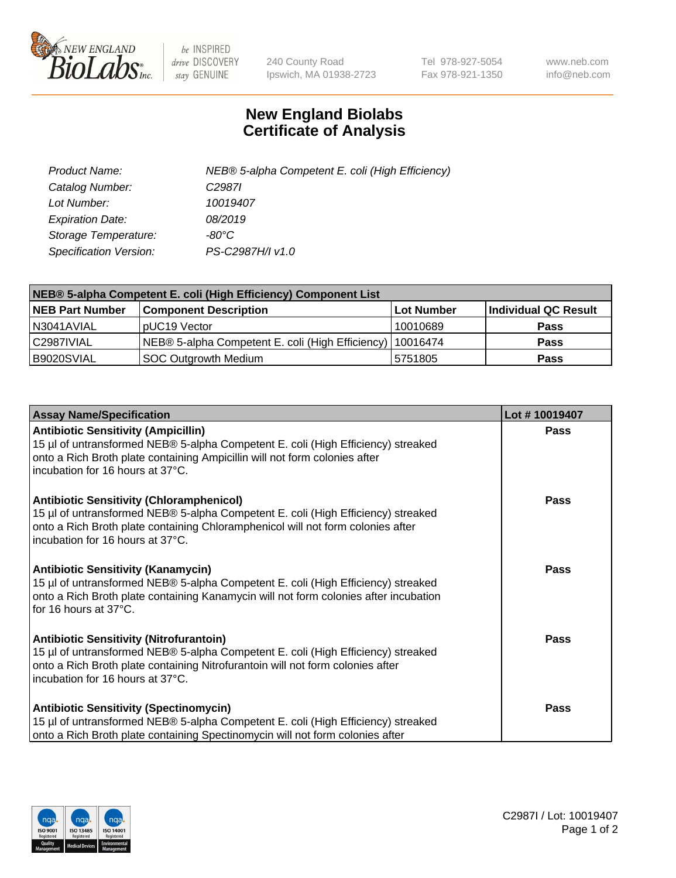

 $be$  INSPIRED drive DISCOVERY stay GENUINE

240 County Road Ipswich, MA 01938-2723 Tel 978-927-5054 Fax 978-921-1350 www.neb.com info@neb.com

## **New England Biolabs Certificate of Analysis**

| Product Name:           | NEB® 5-alpha Competent E. coli (High Efficiency) |
|-------------------------|--------------------------------------------------|
| Catalog Number:         | C <sub>2987</sub>                                |
| Lot Number:             | 10019407                                         |
| <b>Expiration Date:</b> | 08/2019                                          |
| Storage Temperature:    | -80°C                                            |
| Specification Version:  | PS-C2987H/I v1.0                                 |

| NEB® 5-alpha Competent E. coli (High Efficiency) Component List |                                                             |            |                      |  |
|-----------------------------------------------------------------|-------------------------------------------------------------|------------|----------------------|--|
| <b>NEB Part Number</b>                                          | <b>Component Description</b>                                | Lot Number | Individual QC Result |  |
| N3041AVIAL                                                      | pUC19 Vector                                                | 10010689   | Pass                 |  |
| C2987IVIAL                                                      | NEB® 5-alpha Competent E. coli (High Efficiency)   10016474 |            | <b>Pass</b>          |  |
| B9020SVIAL                                                      | <b>SOC Outgrowth Medium</b>                                 | 5751805    | <b>Pass</b>          |  |

| <b>Assay Name/Specification</b>                                                                                                                                                                                                                            | Lot #10019407 |
|------------------------------------------------------------------------------------------------------------------------------------------------------------------------------------------------------------------------------------------------------------|---------------|
| <b>Antibiotic Sensitivity (Ampicillin)</b><br>15 µl of untransformed NEB® 5-alpha Competent E. coli (High Efficiency) streaked<br>onto a Rich Broth plate containing Ampicillin will not form colonies after<br>incubation for 16 hours at 37°C.           | <b>Pass</b>   |
| <b>Antibiotic Sensitivity (Chloramphenicol)</b><br>15 µl of untransformed NEB® 5-alpha Competent E. coli (High Efficiency) streaked<br>onto a Rich Broth plate containing Chloramphenicol will not form colonies after<br>incubation for 16 hours at 37°C. | Pass          |
| Antibiotic Sensitivity (Kanamycin)<br>15 µl of untransformed NEB® 5-alpha Competent E. coli (High Efficiency) streaked<br>onto a Rich Broth plate containing Kanamycin will not form colonies after incubation<br>for 16 hours at 37°C.                    | Pass          |
| <b>Antibiotic Sensitivity (Nitrofurantoin)</b><br>15 µl of untransformed NEB® 5-alpha Competent E. coli (High Efficiency) streaked<br>onto a Rich Broth plate containing Nitrofurantoin will not form colonies after<br>incubation for 16 hours at 37°C.   | <b>Pass</b>   |
| <b>Antibiotic Sensitivity (Spectinomycin)</b><br>15 µl of untransformed NEB® 5-alpha Competent E. coli (High Efficiency) streaked<br>onto a Rich Broth plate containing Spectinomycin will not form colonies after                                         | Pass          |